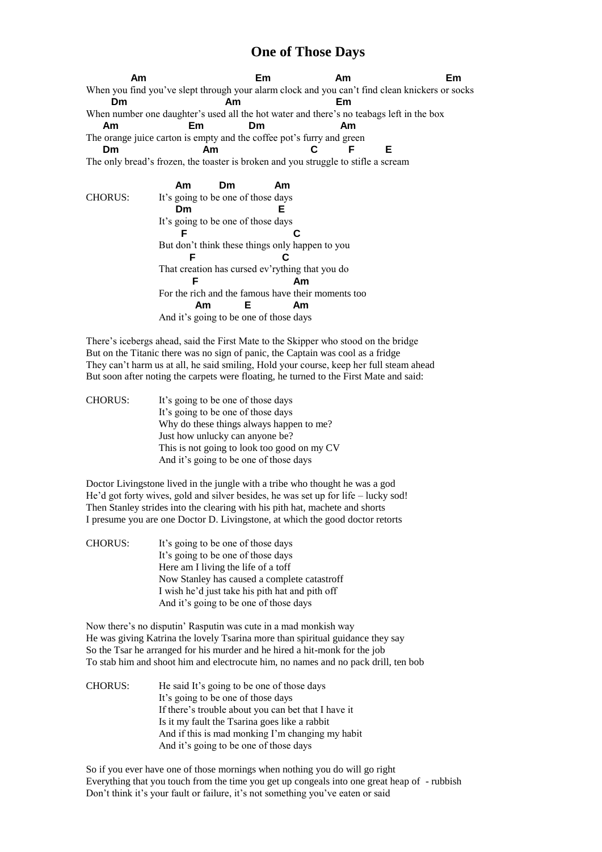## **One of Those Days**

 **Am Em Am Em** When you find you've slept through your alarm clock and you can't find clean knickers or socks  **Dm Am Em** When number one daughter's used all the hot water and there's no teabags left in the box  **Am Em Dm Am** The orange juice carton is empty and the coffee pot's furry and green  **Dm Am C F E** The only bread's frozen, the toaster is broken and you struggle to stifle a scream  **Am Dm Am**

CHORUS: It's going to be one of those days  **Dm E** It's going to be one of those days  **F C** But don't think these things only happen to you **F** C That creation has cursed ev'rything that you do **F** Am For the rich and the famous have their moments too  **Am E Am** And it's going to be one of those days

There's icebergs ahead, said the First Mate to the Skipper who stood on the bridge But on the Titanic there was no sign of panic, the Captain was cool as a fridge They can't harm us at all, he said smiling, Hold your course, keep her full steam ahead But soon after noting the carpets were floating, he turned to the First Mate and said:

| <b>CHORUS:</b> | It's going to be one of those days          |
|----------------|---------------------------------------------|
|                | It's going to be one of those days          |
|                | Why do these things always happen to me?    |
|                | Just how unlucky can anyone be?             |
|                | This is not going to look too good on my CV |
|                | And it's going to be one of those days      |

Doctor Livingstone lived in the jungle with a tribe who thought he was a god He'd got forty wives, gold and silver besides, he was set up for life – lucky sod! Then Stanley strides into the clearing with his pith hat, machete and shorts I presume you are one Doctor D. Livingstone, at which the good doctor retorts

CHORUS: It's going to be one of those days It's going to be one of those days Here am I living the life of a toff Now Stanley has caused a complete catastroff I wish he'd just take his pith hat and pith off And it's going to be one of those days

Now there's no disputin' Rasputin was cute in a mad monkish way He was giving Katrina the lovely Tsarina more than spiritual guidance they say So the Tsar he arranged for his murder and he hired a hit-monk for the job To stab him and shoot him and electrocute him, no names and no pack drill, ten bob

CHORUS: He said It's going to be one of those days It's going to be one of those days If there's trouble about you can bet that I have it Is it my fault the Tsarina goes like a rabbit And if this is mad monking I'm changing my habit And it's going to be one of those days

So if you ever have one of those mornings when nothing you do will go right Everything that you touch from the time you get up congeals into one great heap of - rubbish Don't think it's your fault or failure, it's not something you've eaten or said